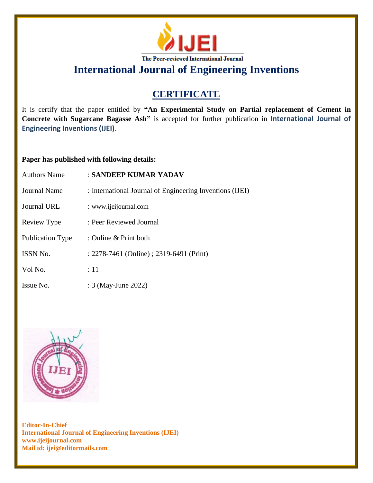

**International Journal of Engineering Inventions**

## **CERTIFICATE**

It is certify that the paper entitled by **"An Experimental Study on Partial replacement of Cement in Concrete with Sugarcane Bagasse Ash"** is accepted for further publication in **International Journal of Engineering Inventions (IJEI)**.

## **Paper has published with following details:**

| <b>Authors Name</b>     | : SANDEEP KUMAR YADAV                                    |
|-------------------------|----------------------------------------------------------|
| Journal Name            | : International Journal of Engineering Inventions (IJEI) |
| Journal URL             | : www.ijeijournal.com                                    |
| Review Type             | : Peer Reviewed Journal                                  |
| <b>Publication Type</b> | : Online $&$ Print both                                  |
| <b>ISSN No.</b>         | : 2278-7461 (Online) ; 2319-6491 (Print)                 |
| Vol No.                 | :11                                                      |
| Issue No.               | : 3 (May-June 2022)                                      |



**Editor-In-Chief International Journal of Engineering Inventions (IJEI) www.ijeijournal.com Mail id: ijei@editormails.com**